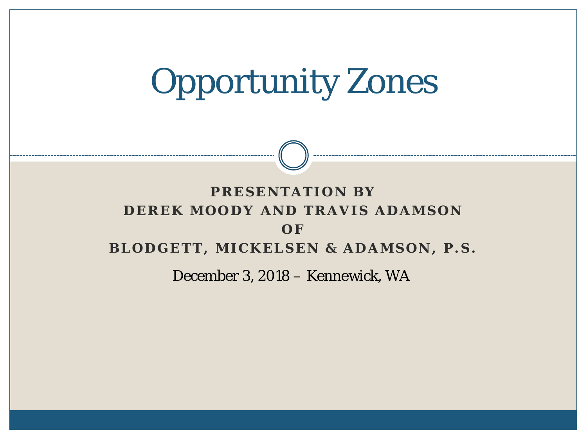# Opportunity Zones

#### **PRESENTATION BY DEREK MOODY AND TRAVIS ADAMSON O F BLODGETT, MICKELSEN & ADAMSON, P.S.**

December 3, 2018 – Kennewick, WA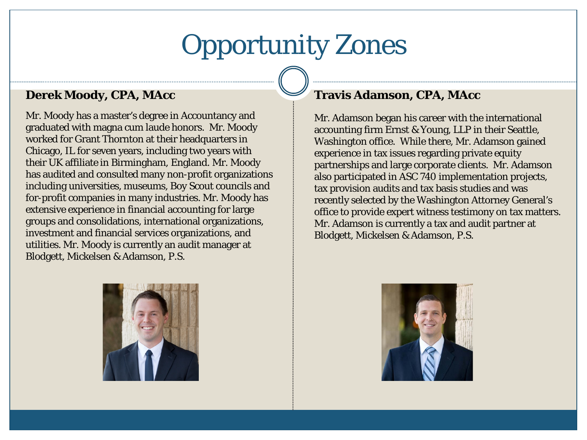#### Opportunity Zones

#### **Derek Moody, CPA, MAcc**

Mr. Moody has a master's degree in Accountancy and graduated with magna cum laude honors. Mr. Moody worked for Grant Thornton at their headquarters in Chicago, IL for seven years, including two years with their UK affiliate in Birmingham, England. Mr. Moody has audited and consulted many non-profit organizations including universities, museums, Boy Scout councils and for-profit companies in many industries. Mr. Moody has extensive experience in financial accounting for large groups and consolidations, international organizations, investment and financial services organizations, and utilities. Mr. Moody is currently an audit manager at Blodgett, Mickelsen & Adamson, P.S.



#### **Travis Adamson, CPA, MAcc**

Mr. Adamson began his career with the international accounting firm Ernst & Young, LLP in their Seattle, Washington office. While there, Mr. Adamson gained experience in tax issues regarding private equity partnerships and large corporate clients. Mr. Adamson also participated in ASC 740 implementation projects, tax provision audits and tax basis studies and was recently selected by the Washington Attorney General's office to provide expert witness testimony on tax matters. Mr. Adamson is currently a tax and audit partner at Blodgett, Mickelsen & Adamson, P.S.

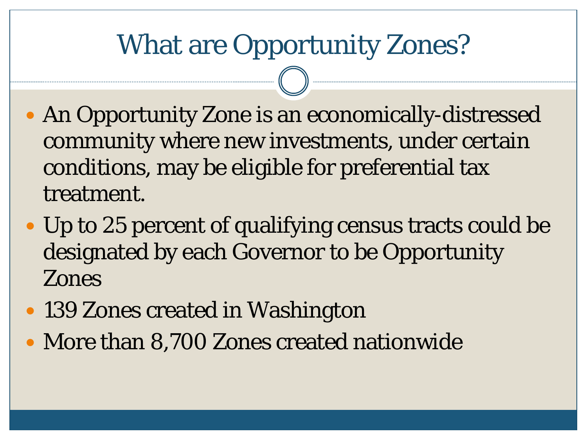#### What are Opportunity Zones?

- An Opportunity Zone is an economically-distressed community where new investments, under certain conditions, may be eligible for preferential tax treatment.
- Up to 25 percent of qualifying census tracts could be designated by each Governor to be Opportunity Zones
- 139 Zones created in Washington
- More than 8,700 Zones created nationwide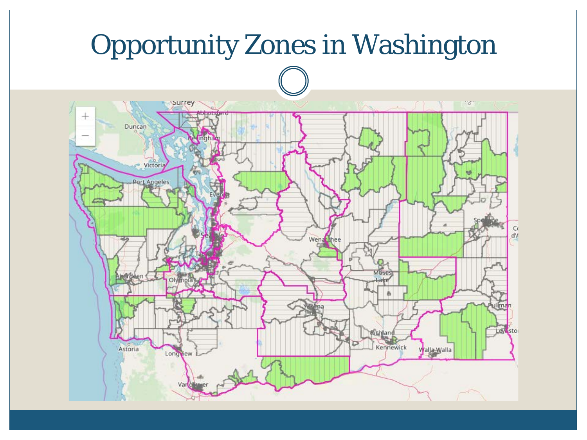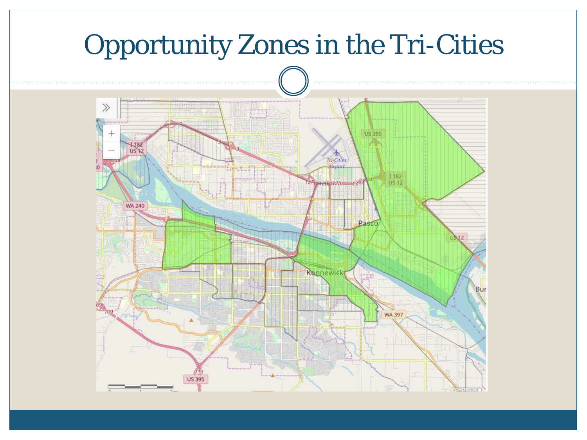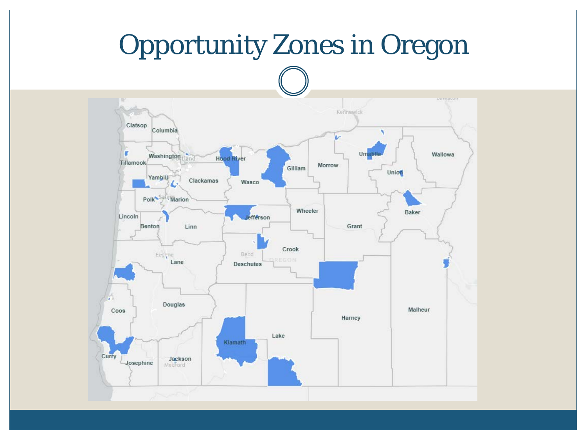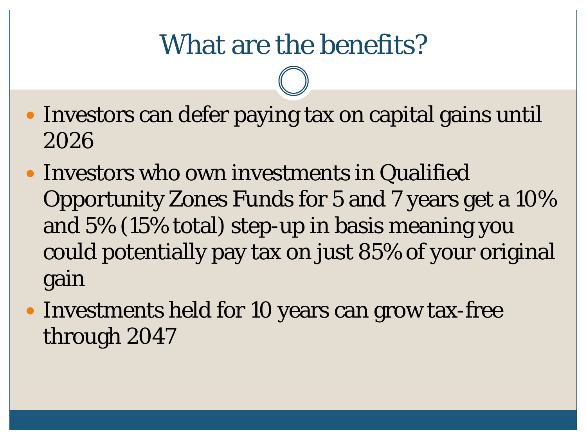#### What are the benefits?

- Investors can defer paying tax on capital gains until 2026
- Investors who own investments in Qualified Opportunity Zones Funds for 5 and 7 years get a 10% and 5% (15% total) step-up in basis meaning you could potentially pay tax on just 85% of your original gain
- Investments held for 10 years can grow tax-free through 2047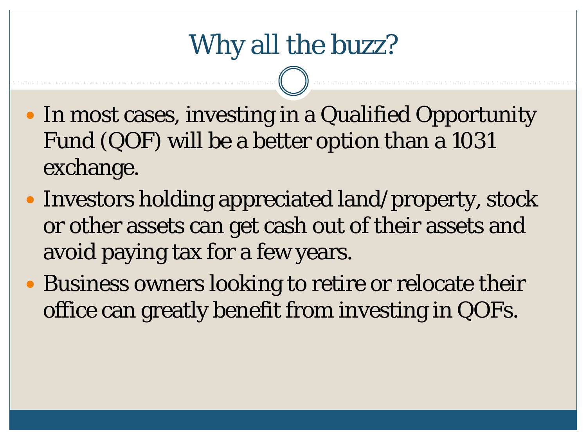- In most cases, investing in a Qualified Opportunity Fund (QOF) will be a better option than a 1031 exchange.
- Investors holding appreciated land/property, stock or other assets can get cash out of their assets and avoid paying tax for a few years.
- Business owners looking to retire or relocate their office can greatly benefit from investing in QOFs.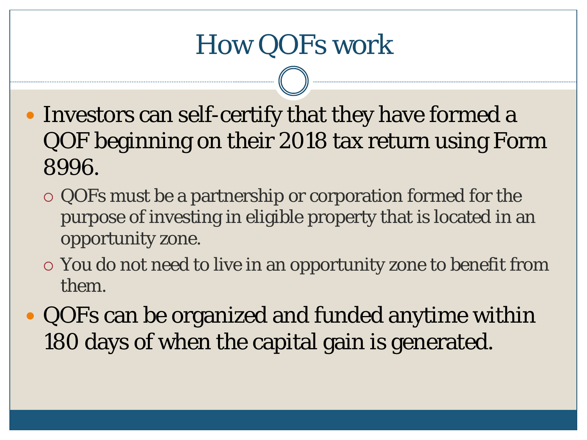- Investors can self-certify that they have formed a QOF beginning on their 2018 tax return using Form 8996.
	- QOFs must be a partnership or corporation formed for the purpose of investing in eligible property that is located in an opportunity zone.
	- You do not need to live in an opportunity zone to benefit from them.
- QOFs can be organized and funded anytime within 180 days of when the capital gain is generated.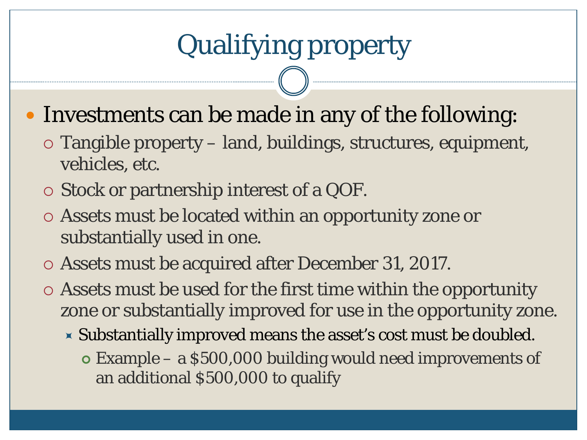- Investments can be made in any of the following:
	- Tangible property land, buildings, structures, equipment, vehicles, etc.
	- Stock or partnership interest of a QOF.
	- Assets must be located within an opportunity zone or substantially used in one.
	- Assets must be acquired after December 31, 2017.
	- Assets must be used for the first time within the opportunity zone or substantially improved for use in the opportunity zone.
		- Substantially improved means the asset's cost must be doubled.
			- Example a \$500,000 building would need improvements of an additional \$500,000 to qualify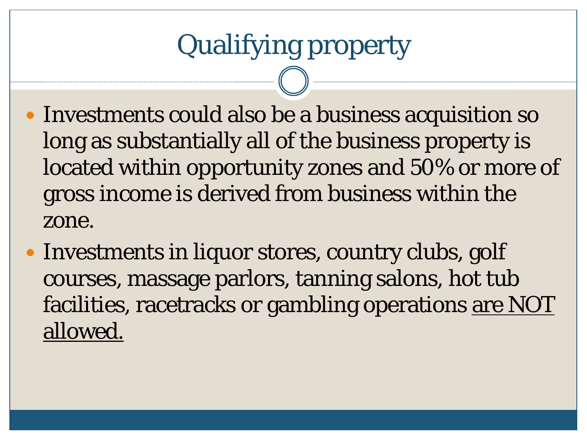- Investments could also be a business acquisition so long as substantially all of the business property is located within opportunity zones and 50% or more of gross income is derived from business within the zone.
- Investments in liquor stores, country clubs, golf courses, massage parlors, tanning salons, hot tub facilities, racetracks or gambling operations are NOT allowed.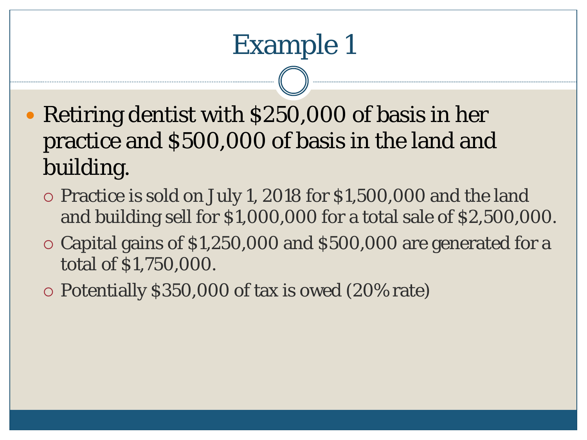- Retiring dentist with \$250,000 of basis in her practice and \$500,000 of basis in the land and building.
	- Practice is sold on July 1, 2018 for \$1,500,000 and the land and building sell for \$1,000,000 for a total sale of \$2,500,000.
	- $\circ$  Capital gains of \$1,250,000 and \$500,000 are generated for a total of \$1,750,000.
	- Potentially \$350,000 of tax is owed (20% rate)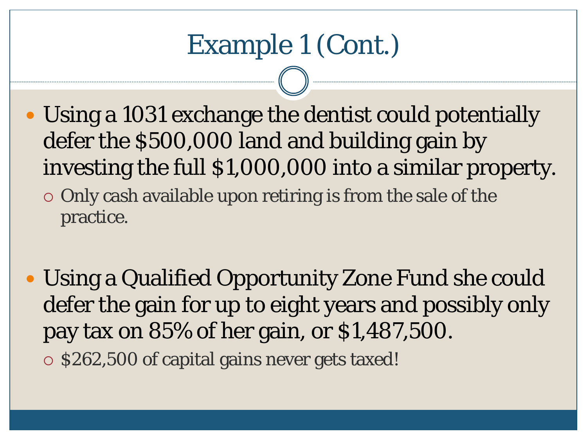- Using a 1031 exchange the dentist could potentially defer the \$500,000 land and building gain by investing the full \$1,000,000 into a similar property.  $\circ$  Only cash available upon retiring is from the sale of the practice.
- Using a Qualified Opportunity Zone Fund she could defer the gain for up to eight years and possibly only pay tax on 85% of her gain, or \$1,487,500.  $\circ$  \$262,500 of capital gains never gets taxed!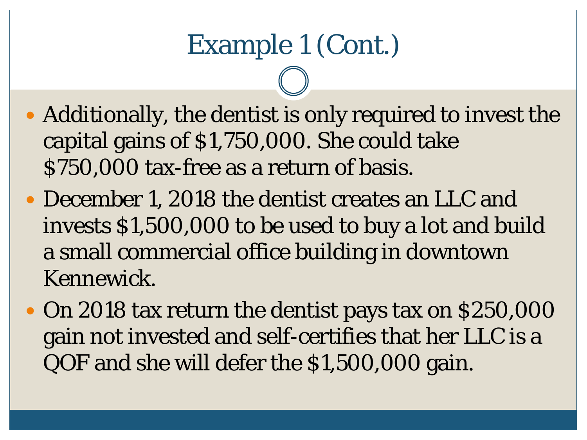- Additionally, the dentist is only required to invest the capital gains of \$1,750,000. She could take \$750,000 tax-free as a return of basis.
- December 1, 2018 the dentist creates an LLC and invests \$1,500,000 to be used to buy a lot and build a small commercial office building in downtown Kennewick.
- On 2018 tax return the dentist pays tax on \$250,000 gain not invested and self-certifies that her LLC is a QOF and she will defer the \$1,500,000 gain.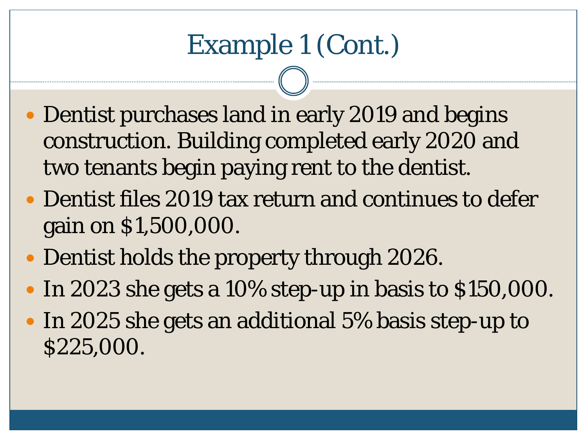- Dentist purchases land in early 2019 and begins construction. Building completed early 2020 and two tenants begin paying rent to the dentist.
- Dentist files 2019 tax return and continues to defer gain on \$1,500,000.
- Dentist holds the property through 2026.
- In 2023 she gets a 10% step-up in basis to \$150,000.
- In 2025 she gets an additional 5% basis step-up to \$225,000.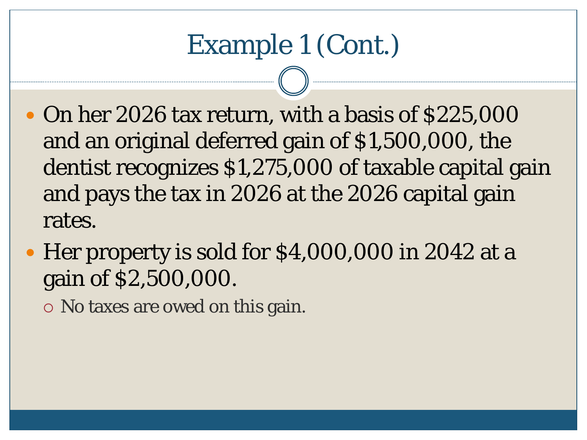## Example 1 (Cont.)

- On her 2026 tax return, with a basis of \$225,000 and an original deferred gain of \$1,500,000, the dentist recognizes \$1,275,000 of taxable capital gain and pays the tax in 2026 at the 2026 capital gain rates.
- Her property is sold for \$4,000,000 in 2042 at a gain of \$2,500,000.

No taxes are owed on this gain.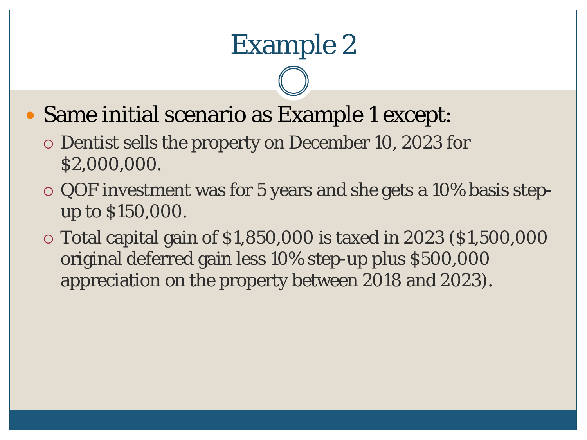- Same initial scenario as Example 1 except:
	- Dentist sells the property on December 10, 2023 for \$2,000,000.
	- QOF investment was for 5 years and she gets a 10% basis stepup to \$150,000.
	- Total capital gain of \$1,850,000 is taxed in 2023 (\$1,500,000 original deferred gain less 10% step-up plus \$500,000 appreciation on the property between 2018 and 2023).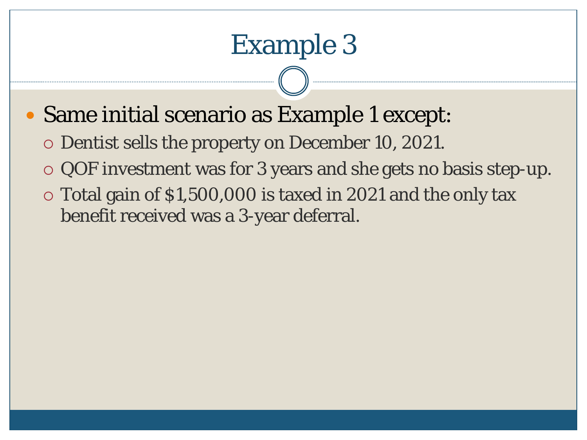#### Same initial scenario as Example 1 except:

- Dentist sells the property on December 10, 2021.
- QOF investment was for 3 years and she gets no basis step-up.
- Total gain of \$1,500,000 is taxed in 2021 and the only tax benefit received was a 3-year deferral.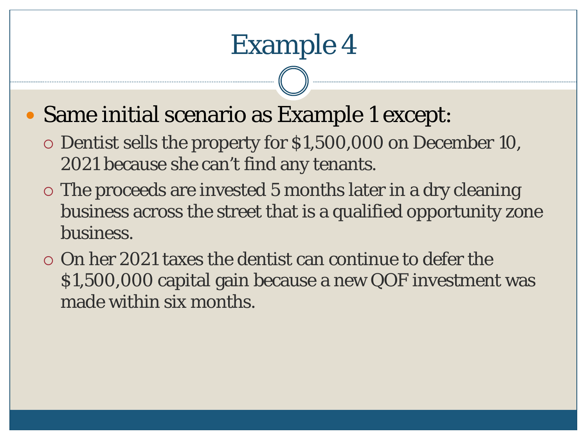- Same initial scenario as Example 1 except:
	- Dentist sells the property for \$1,500,000 on December 10, 2021 because she can't find any tenants.
	- The proceeds are invested 5 months later in a dry cleaning business across the street that is a qualified opportunity zone business.
	- On her 2021 taxes the dentist can continue to defer the \$1,500,000 capital gain because a new QOF investment was made within six months.